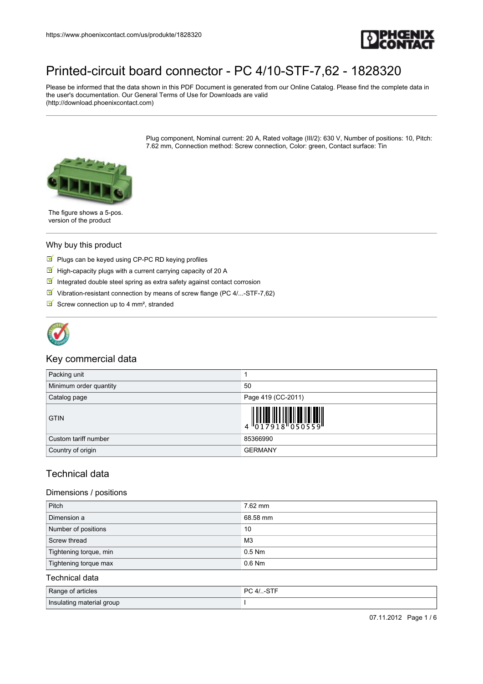

Please be informed that the data shown in this PDF Document is generated from our Online Catalog. Please find the complete data in the user's documentation. Our General Terms of Use for Downloads are valid (http://download.phoenixcontact.com)

> Plug component, Nominal current: 20 A, Rated voltage (III/2): 630 V, Number of positions: 10, Pitch: 7.62 mm, Connection method: Screw connection, Color: green, Contact surface: Tin



The figure shows a 5-pos. version of the product

#### Why buy this product

- $\blacksquare$  Plugs can be keyed using CP-PC RD keying profiles
- $\blacksquare$  High-capacity plugs with a current carrying capacity of 20 A
- Integrated double steel spring as extra safety against contact corrosion
- $\blacksquare$  Vibration-resistant connection by means of screw flange (PC 4/...-STF-7,62)
- Screw connection up to 4 mm<sup>2</sup>, stranded



### Key commercial data

| Packing unit           |                                                                                                                                                                                                                                                                                                                          |
|------------------------|--------------------------------------------------------------------------------------------------------------------------------------------------------------------------------------------------------------------------------------------------------------------------------------------------------------------------|
| Minimum order quantity | 50                                                                                                                                                                                                                                                                                                                       |
| Catalog page           | Page 419 (CC-2011)                                                                                                                                                                                                                                                                                                       |
| <b>GTIN</b>            | $\begin{array}{c} 1 & 0 & 0 & 0 & 0 \\ 0 & 0 & 1 & 7 & 9 & 1 & 8 \\ 0 & 0 & 0 & 0 & 1 & 8 \\ 0 & 0 & 0 & 0 & 0 & 1 & 8 \\ 0 & 0 & 0 & 0 & 0 & 0 & 5 \\ 0 & 0 & 0 & 0 & 0 & 0 & 0 \\ 0 & 0 & 0 & 0 & 0 & 0 & 0 \\ 0 & 0 & 0 & 0 & 0 & 0 & 0 & 0 \\ 0 & 0 & 0 & 0 & 0 & 0 & 0 & 0 \\ 0 & 0 & 0 & 0 & 0 & 0 & 0 & 0 \\ 0 &$ |
| Custom tariff number   | 85366990                                                                                                                                                                                                                                                                                                                 |
| Country of origin      | <b>GERMANY</b>                                                                                                                                                                                                                                                                                                           |

### Technical data

#### Dimensions / positions

| Pitch                  | 7.62 mm  |
|------------------------|----------|
| Dimension a            | 68.58 mm |
| Number of positions    | 10       |
| Screw thread           | MЗ       |
| Tightening torque, min | $0.5$ Nm |
| Tightening torque max  | $0.6$ Nm |

#### Technical data

| Range of articles         | PC.4/ |
|---------------------------|-------|
| Insulating material group |       |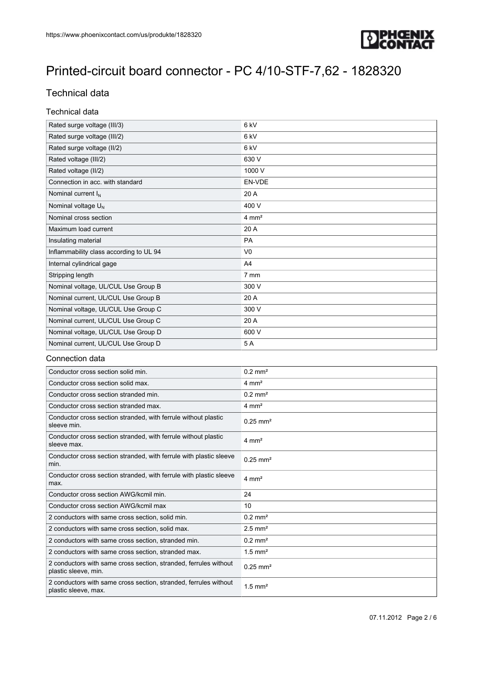

### Technical data

#### Technical data

| Rated surge voltage (III/3)             | 6 <sub>kV</sub>  |
|-----------------------------------------|------------------|
| Rated surge voltage (III/2)             | 6 <sub>kV</sub>  |
| Rated surge voltage (II/2)              | 6 <sub>kV</sub>  |
| Rated voltage (III/2)                   | 630 V            |
| Rated voltage (II/2)                    | 1000 V           |
| Connection in acc. with standard        | EN-VDE           |
| Nominal current $I_N$                   | 20 A             |
| Nominal voltage $U_N$                   | 400 V            |
| Nominal cross section                   | $4 \text{ mm}^2$ |
| Maximum load current                    | 20 A             |
| Insulating material                     | <b>PA</b>        |
| Inflammability class according to UL 94 | V <sub>0</sub>   |
| Internal cylindrical gage               | A <sub>4</sub>   |
| Stripping length                        | 7 mm             |
| Nominal voltage, UL/CUL Use Group B     | 300 V            |
| Nominal current, UL/CUL Use Group B     | 20 A             |
| Nominal voltage, UL/CUL Use Group C     | 300 V            |
| Nominal current, UL/CUL Use Group C     | 20 A             |
| Nominal voltage, UL/CUL Use Group D     | 600 V            |
| Nominal current, UL/CUL Use Group D     | 5A               |

#### Connection data

| Conductor cross section solid min.                                                       | $0.2 \text{ mm}^2$     |
|------------------------------------------------------------------------------------------|------------------------|
| Conductor cross section solid max.                                                       | $4 \text{ mm}^2$       |
| Conductor cross section stranded min.                                                    | $0.2 \text{ mm}^2$     |
| Conductor cross section stranded max.                                                    | $4 \text{ mm}^2$       |
| Conductor cross section stranded, with ferrule without plastic<br>sleeve min.            | $0.25$ mm <sup>2</sup> |
| Conductor cross section stranded, with ferrule without plastic<br>sleeve max.            | $4 \text{ mm}^2$       |
| Conductor cross section stranded, with ferrule with plastic sleeve<br>min.               | $0.25$ mm <sup>2</sup> |
| Conductor cross section stranded, with ferrule with plastic sleeve<br>max.               | $4 \text{ mm}^2$       |
| Conductor cross section AWG/kcmil min.                                                   | 24                     |
| Conductor cross section AWG/kcmil max                                                    | 10                     |
| 2 conductors with same cross section, solid min.                                         | $0.2 \text{ mm}^2$     |
| 2 conductors with same cross section, solid max.                                         | $2.5$ mm <sup>2</sup>  |
| 2 conductors with same cross section, stranded min.                                      | $0.2$ mm <sup>2</sup>  |
| 2 conductors with same cross section, stranded max.                                      | $1.5$ mm <sup>2</sup>  |
| 2 conductors with same cross section, stranded, ferrules without<br>plastic sleeve, min. | $0.25$ mm <sup>2</sup> |
| 2 conductors with same cross section, stranded, ferrules without<br>plastic sleeve, max. | $1.5$ mm <sup>2</sup>  |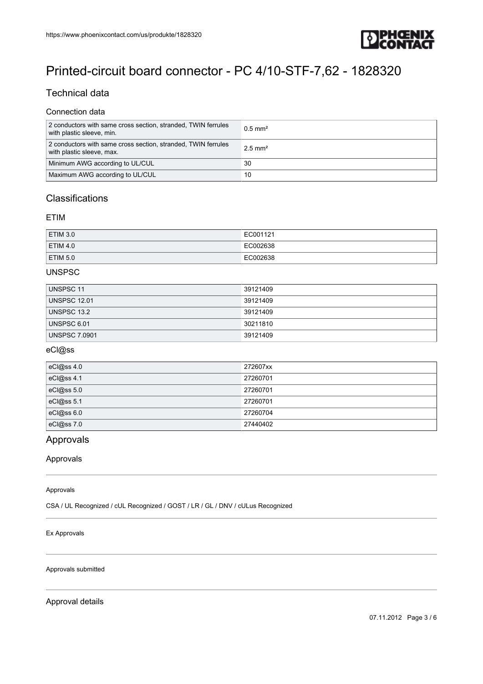

### Technical data

#### Connection data

| 2 conductors with same cross section, stranded, TWIN ferrules<br>with plastic sleeve, min. | $0.5 \text{ mm}^2$    |
|--------------------------------------------------------------------------------------------|-----------------------|
| 2 conductors with same cross section, stranded, TWIN ferrules<br>with plastic sleeve, max. | $2.5$ mm <sup>2</sup> |
| Minimum AWG according to UL/CUL                                                            | 30                    |
| Maximum AWG according to UL/CUL                                                            | 10                    |

### **Classifications**

#### ETIM

| <b>ETIM 3.0</b> | EC001121 |
|-----------------|----------|
| <b>ETIM 4.0</b> | EC002638 |
| <b>ETIM 5.0</b> | EC002638 |

### UNSPSC

| UNSPSC 11            | 39121409 |
|----------------------|----------|
| <b>UNSPSC 12.01</b>  | 39121409 |
| UNSPSC 13.2          | 39121409 |
| UNSPSC 6.01          | 30211810 |
| <b>UNSPSC 7.0901</b> | 39121409 |

#### eCl@ss

| eCl@ss 4.0   | 272607xx |
|--------------|----------|
| eCl@ss 4.1   | 27260701 |
| eCl@ss 5.0   | 27260701 |
| eCl@ss $5.1$ | 27260701 |
| eCl@ss 6.0   | 27260704 |
| eCl@ss 7.0   | 27440402 |

### Approvals

#### Approvals

#### Approvals

CSA / UL Recognized / cUL Recognized / GOST / LR / GL / DNV / cULus Recognized

#### Ex Approvals

Approvals submitted

Approval details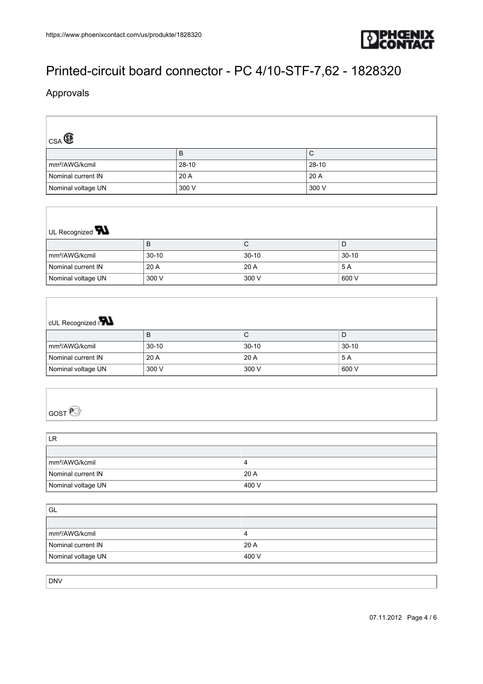

### Approvals

| CSA <sup>C</sup>           |         |           |
|----------------------------|---------|-----------|
|                            | B       | C         |
| mm <sup>2</sup> /AWG/kcmil | $28-10$ | $28 - 10$ |
| Nominal current IN         | 20 A    | 20 A      |
| Nominal voltage UN         | 300 V   | 300 V     |

# UL Recognized **W**

|                            | В       | ◡       |         |
|----------------------------|---------|---------|---------|
| mm <sup>2</sup> /AWG/kcmil | $30-10$ | $30-10$ | $30-10$ |
| Nominal current IN         | 20 A    | 20 A    | 5 A     |
| Nominal voltage UN         | 300 V   | 300 V   | 600 V   |

## cUL Recognized of

|                            | D       | ◡       | ш.      |
|----------------------------|---------|---------|---------|
| <sup>∣</sup> mm²/AWG/kcmil | $30-10$ | $30-10$ | $30-10$ |
| Nominal current IN         | 20A     | 20 A    | 5 A     |
| Nominal voltage UN         | 300 V   | 300 V   | 600 V   |

## GOST<sup>e</sup>

| LR                         |       |
|----------------------------|-------|
|                            |       |
| mm <sup>2</sup> /AWG/kcmil |       |
| Nominal current IN         | 20A   |
| Nominal voltage UN         | 400 V |

| ' GL                       |       |
|----------------------------|-------|
|                            |       |
| mm <sup>2</sup> /AWG/kcmil |       |
| Nominal current IN         | 20A   |
| Nominal voltage UN         | 400 V |

DNV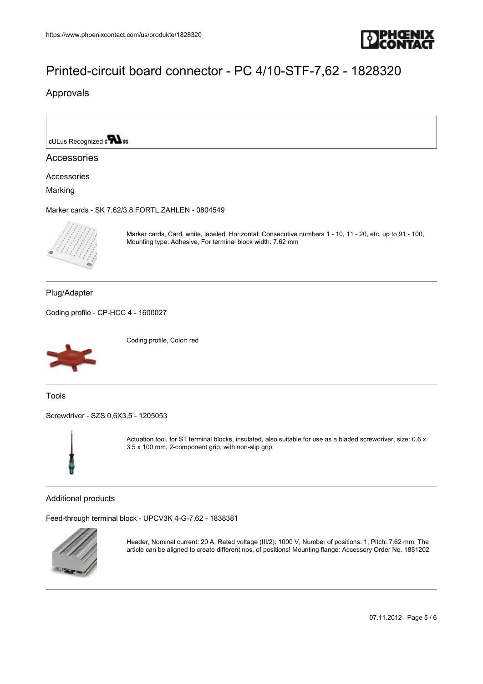

Approvals

cULus Recognized  $\mathbf{r}$  os

#### Accessories

Accessories

Marking

[Marker cards - SK 7,62/3,8:FORTL.ZAHLEN - 0804549](https://www.phoenixcontact.com/us/produkte/0804549)



Marker cards, Card, white, labeled, Horizontal: Consecutive numbers 1 - 10, 11 - 20, etc. up to 91 - 100, Mounting type: Adhesive, For terminal block width: 7.62 mm

Plug/Adapter

[Coding profile - CP-HCC 4 - 1600027](https://www.phoenixcontact.com/us/produkte/1600027)



Coding profile, Color: red

Tools

[Screwdriver - SZS 0,6X3,5 - 1205053](https://www.phoenixcontact.com/us/produkte/1205053)



Actuation tool, for ST terminal blocks, insulated, also suitable for use as a bladed screwdriver, size: 0.6 x 3.5 x 100 mm, 2-component grip, with non-slip grip

Additional products

[Feed-through terminal block - UPCV3K 4-G-7,62 - 1838381](https://www.phoenixcontact.com/us/produkte/1838381)



Header, Nominal current: 20 A, Rated voltage (III/2): 1000 V, Number of positions: 1, Pitch: 7.62 mm, The article can be aligned to create different nos. of positions! Mounting flange: Accessory Order No. 1881202